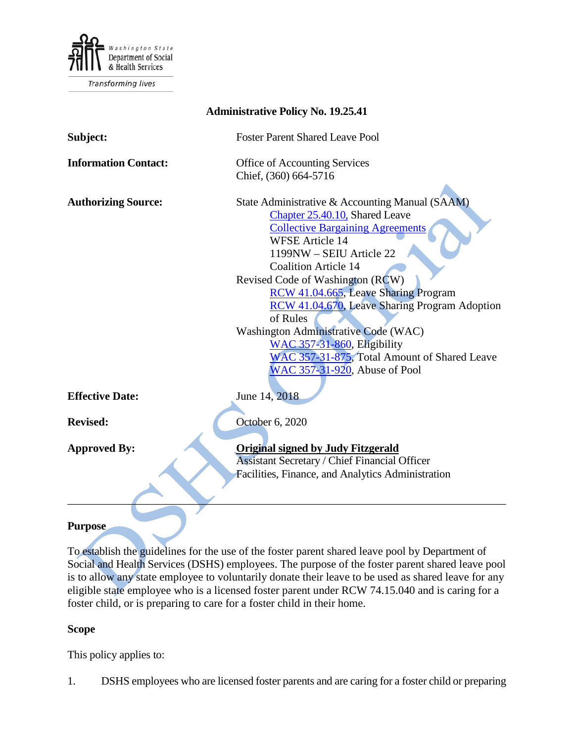

Transforming lives

| <b>Administrative Policy No. 19.25.41</b> |                                                                                                                                                                                                                   |
|-------------------------------------------|-------------------------------------------------------------------------------------------------------------------------------------------------------------------------------------------------------------------|
| Subject:                                  | <b>Foster Parent Shared Leave Pool</b>                                                                                                                                                                            |
| <b>Information Contact:</b>               | Office of Accounting Services<br>Chief, (360) 664-5716                                                                                                                                                            |
| <b>Authorizing Source:</b>                | State Administrative & Accounting Manual (SAAM)<br>Chapter 25.40.10, Shared Leave<br><b>Collective Bargaining Agreements</b><br><b>WFSE Article 14</b><br>1199NW - SEIU Article 22<br><b>Coalition Article 14</b> |
|                                           | Revised Code of Washington (RCW)<br>RCW 41.04.665, Leave Sharing Program<br>RCW 41.04.670, Leave Sharing Program Adoption<br>of Rules                                                                             |
|                                           | Washington Administrative Code (WAC)<br>WAC 357-31-860, Eligibility<br>WAC 357-31-875, Total Amount of Shared Leave<br>WAC 357-31-920, Abuse of Pool                                                              |
| <b>Effective Date:</b>                    | June 14, 2018                                                                                                                                                                                                     |
| <b>Revised:</b>                           | October 6, 2020                                                                                                                                                                                                   |
| <b>Approved By:</b>                       | <b>Original signed by Judy Fitzgerald</b><br><b>Assistant Secretary / Chief Financial Officer</b><br>Facilities, Finance, and Analytics Administration                                                            |
| Purpose                                   |                                                                                                                                                                                                                   |

**Purpose**

To establish the guidelines for the use of the foster parent shared leave pool by Department of Social and Health Services (DSHS) employees. The purpose of the foster parent shared leave pool is to allow any state employee to voluntarily donate their leave to be used as shared leave for any eligible state employee who is a licensed foster parent under RCW 74.15.040 and is caring for a foster child, or is preparing to care for a foster child in their home.

### **Scope**

This policy applies to:

1. DSHS employees who are licensed foster parents and are caring for a foster child or preparing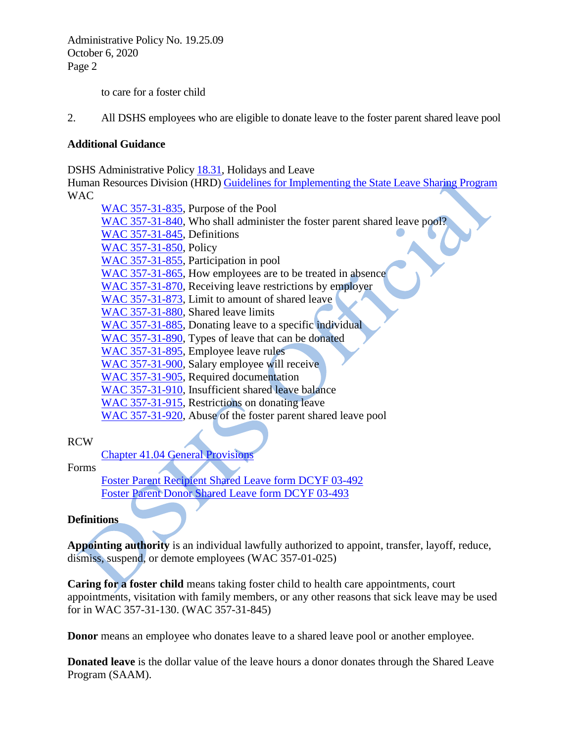to care for a foster child

2. All DSHS employees who are eligible to donate leave to the foster parent shared leave pool

### **Additional Guidance**

DSHS Administrative Policy [18.31,](http://one.dshs.wa.lcl/Policies/Administrative/DSHS-AP-18-31.pdf) Holidays and Leave

Human Resources Division (HRD[\) Guidelines for Implementing the State Leave Sharing Program](http://hrd.dshs.wa.lcl/Top_Toolbar/Guidlines_and_Best_Practices/Guidlines_Best_Practices.htm) WAC

[WAC 357-31-835,](http://apps.leg.wa.gov/WAC/default.aspx?cite=357-31-835) Purpose of the Pool [WAC 357-31-840,](http://apps.leg.wa.gov/WAC/default.aspx?cite=357-31-840) Who shall administer the foster parent shared leave pool? [WAC 357-31-845,](http://apps.leg.wa.gov/WAC/default.aspx?cite=357-31-845) Definitions [WAC 357-31-850,](http://apps.leg.wa.gov/WAC/default.aspx?cite=357-31-850) Policy [WAC 357-31-855,](http://apps.leg.wa.gov/WAC/default.aspx?cite=357-31-855) Participation in pool [WAC 357-31-865,](http://apps.leg.wa.gov/WAC/default.aspx?cite=357-31-865) How employees are to be treated in absence [WAC 357-31-870,](http://apps.leg.wa.gov/WAC/default.aspx?cite=357-31-870) Receiving leave restrictions by employer [WAC 357-31-873,](http://apps.leg.wa.gov/WAC/default.aspx?cite=357-31-873) Limit to amount of shared leave [WAC 357-31-880,](http://apps.leg.wa.gov/WAC/default.aspx?cite=357-31-880) Shared leave limits [WAC 357-31-885,](http://apps.leg.wa.gov/WAC/default.aspx?cite=357-31-885) Donating leave to a specific individual [WAC 357-31-890,](http://apps.leg.wa.gov/WAC/default.aspx?cite=357-31-890) Types of leave that can be donated [WAC 357-31-895,](http://apps.leg.wa.gov/WAC/default.aspx?cite=357-31-895) Employee leave rules [WAC 357-31-900,](http://apps.leg.wa.gov/WAC/default.aspx?cite=357-31-900) Salary employee will receive [WAC 357-31-905,](http://apps.leg.wa.gov/WAC/default.aspx?cite=357-31-905) Required documentation [WAC 357-31-910,](http://apps.leg.wa.gov/WAC/default.aspx?cite=357-31-910) Insufficient shared leave balance [WAC 357-31-915,](http://apps.leg.wa.gov/WAC/default.aspx?cite=357-31-915) Restrictions on donating leave [WAC 357-31-920,](https://apps.leg.wa.gov/WAC/default.aspx?cite=357-31-920) Abuse of the foster parent shared leave pool

### RCW

Chapter 41.04 [General Provisions](http://app.leg.wa.gov/rcw/default.aspx?cite=41.04)

### Forms

[Foster Parent Recipient Shared Leave form DCYF 03-492](https://www.dcyf.wa.gov/services/foster-parenting/fpslp) [Foster Parent Donor Shared Leave form DCYF 03-493](https://www.dcyf.wa.gov/services/foster-parenting/fpslp)

### **Definitions**

**Appointing authority** is an individual lawfully authorized to appoint, transfer, layoff, reduce, dismiss, suspend, or demote employees (WAC 357-01-025)

**Caring for a foster child** means taking foster child to health care appointments, court appointments, visitation with family members, or any other reasons that sick leave may be used for in WAC 357-31-130. (WAC 357-31-845)

**Donor** means an employee who donates leave to a shared leave pool or another employee.

**Donated leave** is the dollar value of the leave hours a donor donates through the Shared Leave Program (SAAM).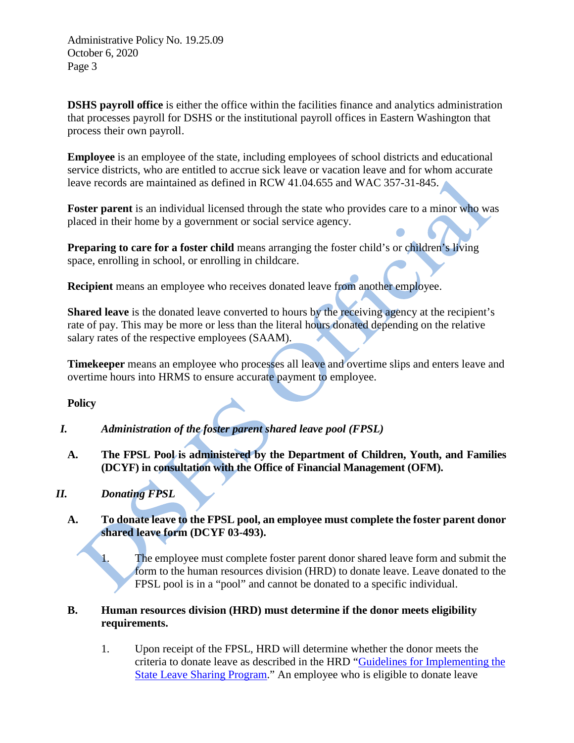**DSHS payroll office** is either the office within the facilities finance and analytics administration that processes payroll for DSHS or the institutional payroll offices in Eastern Washington that process their own payroll.

**Employee** is an employee of the state, including employees of school districts and educational service districts, who are entitled to accrue sick leave or vacation leave and for whom accurate leave records are maintained as defined in RCW 41.04.655 and WAC 357-31-845.

**Foster parent** is an individual licensed through the state who provides care to a minor who was placed in their home by a government or social service agency.

**Preparing to care for a foster child** means arranging the foster child's or children's living space, enrolling in school, or enrolling in childcare.

**Recipient** means an employee who receives donated leave from another employee.

**Shared leave** is the donated leave converted to hours by the receiving agency at the recipient's rate of pay. This may be more or less than the literal hours donated depending on the relative salary rates of the respective employees (SAAM).

**Timekeeper** means an employee who processes all leave and overtime slips and enters leave and overtime hours into HRMS to ensure accurate payment to employee.

**Policy** 

- *I. Administration of the foster parent shared leave pool (FPSL)*
	- **A. The FPSL Pool is administered by the Department of Children, Youth, and Families (DCYF) in consultation with the Office of Financial Management (OFM).**

## *II. Donating FPSL*

### **A. To donate leave to the FPSL pool, an employee must complete the foster parent donor shared leave form (DCYF 03-493).**

1. The employee must complete foster parent donor shared leave form and submit the form to the human resources division (HRD) to donate leave. Leave donated to the FPSL pool is in a "pool" and cannot be donated to a specific individual.

### **B. Human resources division (HRD) must determine if the donor meets eligibility requirements.**

1. Upon receipt of the [FPSL,](https://www.dcyf.wa.gov/sites/default/files/forms/03-493.docx) HRD will determine whether the donor meets the criteria to donate leave as described in the HRD ["Guidelines for Implementing the](http://hrd.dshs.wa.lcl/Top_Toolbar/Guidlines_and_Best_Practices/Guidlines_Best_Practices.htm)  [State Leave Sharing Program.](http://hrd.dshs.wa.lcl/Top_Toolbar/Guidlines_and_Best_Practices/Guidlines_Best_Practices.htm)" An employee who is eligible to donate leave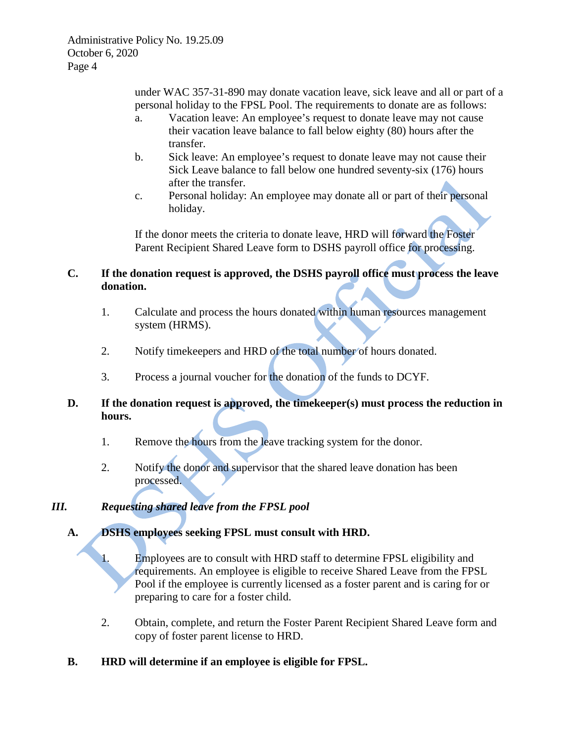> under WAC 357-31-890 may donate vacation leave, sick leave and all or part of a personal holiday to the FPSL Pool. The requirements to donate are as follows:

- a. Vacation leave: An employee's request to donate leave may not cause their vacation leave balance to fall below eighty (80) hours after the transfer.
- b. Sick leave: An employee's request to donate leave may not cause their Sick Leave balance to fall below one hundred seventy-six (176) hours after the transfer.
- c. Personal holiday: An employee may donate all or part of their personal holiday.

If the donor meets the criteria to donate leave, HRD will forward the Foster Parent Recipient Shared Leave form to DSHS payroll office for processing.

# **C. If the donation request is approved, the DSHS payroll office must process the leave donation.**

- 1. Calculate and process the hours donated within human resources management system (HRMS).
- 2. Notify timekeepers and HRD of the total number of hours donated.
- 3. Process a journal voucher for the donation of the funds to DCYF.

## **D. If the donation request is approved, the timekeeper(s) must process the reduction in hours.**

- 1. Remove the hours from the leave tracking system for the donor.
- 2. Notify the donor and supervisor that the shared leave donation has been processed.

# *III. Requesting shared leave from the FPSL pool*

# **A. DSHS employees seeking FPSL must consult with HRD.**

1. Employees are to consult with HRD staff to determine FPSL eligibility and requirements. An employee is eligible to receive Shared Leave from the FPSL Pool if the employee is currently licensed as a foster parent and is caring for or preparing to care for a foster child.

- 2. Obtain, complete, and return the Foster Parent Recipient Shared Leave form and copy of foster parent license to HRD.
- **B. HRD will determine if an employee is eligible for FPSL.**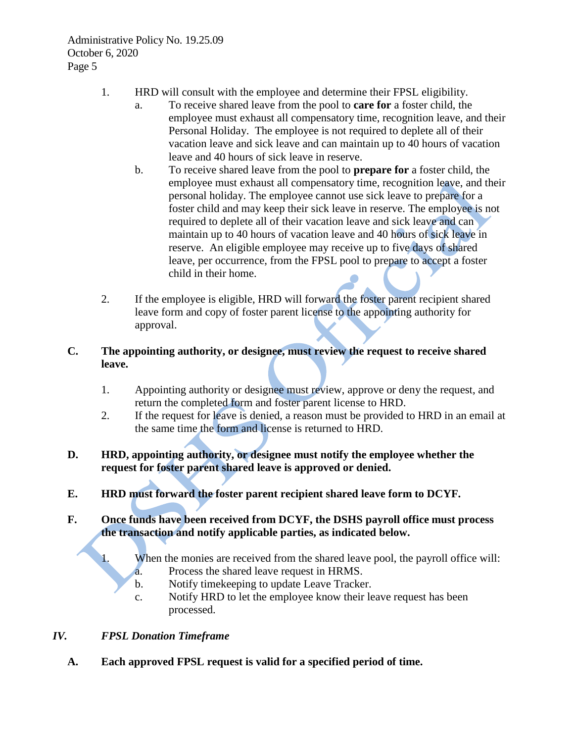- 1. HRD will consult with the employee and determine their FPSL eligibility.
	- a. To receive shared leave from the pool to **care for** a foster child, the employee must exhaust all compensatory time, recognition leave, and their Personal Holiday. The employee is not required to deplete all of their vacation leave and sick leave and can maintain up to 40 hours of vacation leave and 40 hours of sick leave in reserve.
	- b. To receive shared leave from the pool to **prepare for** a foster child, the employee must exhaust all compensatory time, recognition leave, and their personal holiday. The employee cannot use sick leave to prepare for a foster child and may keep their sick leave in reserve. The employee is not required to deplete all of their vacation leave and sick leave and can maintain up to 40 hours of vacation leave and 40 hours of sick leave in reserve. An eligible employee may receive up to five days of shared leave, per occurrence, from the FPSL pool to prepare to accept a foster child in their home.
- 2. If the employee is eligible, HRD will forward the foster parent recipient shared leave form and copy of foster parent license to the appointing authority for approval.

# **C. The appointing authority, or designee, must review the request to receive shared leave.**

- 1. Appointing authority or designee must review, approve or deny the request, and return the completed form and foster parent license to HRD.
- 2. If the request for leave is denied, a reason must be provided to HRD in an email at the same time the form and license is returned to HRD.

## **D. HRD, appointing authority, or designee must notify the employee whether the request for foster parent shared leave is approved or denied.**

**E. HRD must forward the foster parent recipient shared leave form to DCYF.** 

## **F. Once funds have been received from DCYF, the DSHS payroll office must process the transaction and notify applicable parties, as indicated below.**

- 1. When the monies are received from the shared leave pool, the payroll office will:
	- a. Process the shared leave request in HRMS.
	- b. Notify timekeeping to update Leave Tracker.
	- c. Notify HRD to let the employee know their leave request has been processed.

## *IV. FPSL Donation Timeframe*

**A. Each approved FPSL request is valid for a specified period of time.**